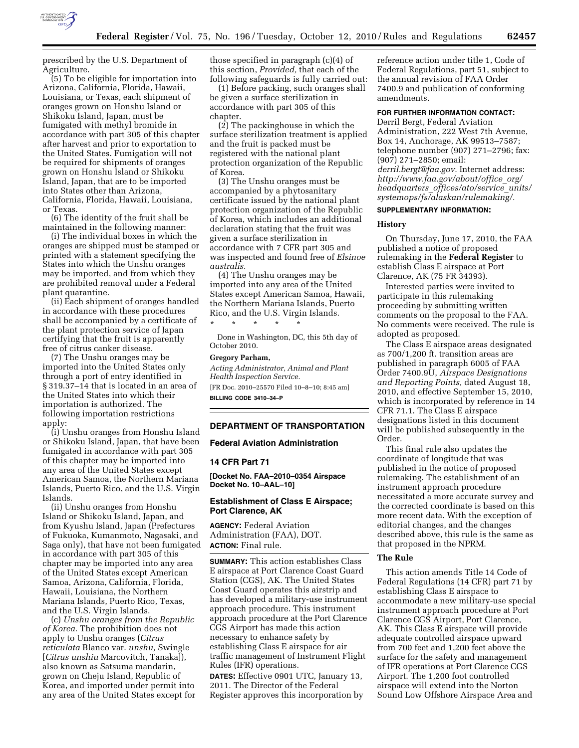

prescribed by the U.S. Department of Agriculture.

(5) To be eligible for importation into Arizona, California, Florida, Hawaii, Louisiana, or Texas, each shipment of oranges grown on Honshu Island or Shikoku Island, Japan, must be fumigated with methyl bromide in accordance with part 305 of this chapter after harvest and prior to exportation to the United States. Fumigation will not be required for shipments of oranges grown on Honshu Island or Shikoku Island, Japan, that are to be imported into States other than Arizona, California, Florida, Hawaii, Louisiana, or Texas.

(6) The identity of the fruit shall be maintained in the following manner:

(i) The individual boxes in which the oranges are shipped must be stamped or printed with a statement specifying the States into which the Unshu oranges may be imported, and from which they are prohibited removal under a Federal plant quarantine.

(ii) Each shipment of oranges handled in accordance with these procedures shall be accompanied by a certificate of the plant protection service of Japan certifying that the fruit is apparently free of citrus canker disease.

(7) The Unshu oranges may be imported into the United States only through a port of entry identified in § 319.37–14 that is located in an area of the United States into which their importation is authorized. The following importation restrictions apply:

(i) Unshu oranges from Honshu Island or Shikoku Island, Japan, that have been fumigated in accordance with part 305 of this chapter may be imported into any area of the United States except American Samoa, the Northern Mariana Islands, Puerto Rico, and the U.S. Virgin Islands.

(ii) Unshu oranges from Honshu Island or Shikoku Island, Japan, and from Kyushu Island, Japan (Prefectures of Fukuoka, Kumanmoto, Nagasaki, and Saga only), that have not been fumigated in accordance with part 305 of this chapter may be imported into any area of the United States except American Samoa, Arizona, California, Florida, Hawaii, Louisiana, the Northern Mariana Islands, Puerto Rico, Texas, and the U.S. Virgin Islands.

(c) *Unshu oranges from the Republic of Korea.* The prohibition does not apply to Unshu oranges (*Citrus reticulata* Blanco var. *unshu,* Swingle [*Citrus unshiu* Marcovitch, Tanaka]), also known as Satsuma mandarin, grown on Cheju Island, Republic of Korea, and imported under permit into any area of the United States except for those specified in paragraph (c)(4) of this section, *Provided,* that each of the following safeguards is fully carried out:

(1) Before packing, such oranges shall be given a surface sterilization in accordance with part 305 of this chapter.

(2) The packinghouse in which the surface sterilization treatment is applied and the fruit is packed must be registered with the national plant protection organization of the Republic of Korea.

(3) The Unshu oranges must be accompanied by a phytosanitary certificate issued by the national plant protection organization of the Republic of Korea, which includes an additional declaration stating that the fruit was given a surface sterilization in accordance with 7 CFR part 305 and was inspected and found free of *Elsinoe australis.* 

(4) The Unshu oranges may be imported into any area of the United States except American Samoa, Hawaii, the Northern Mariana Islands, Puerto Rico, and the U.S. Virgin Islands.

\* \* \* \* \* Done in Washington, DC, this 5th day of October 2010.

#### **Gregory Parham,**

*Acting Administrator, Animal and Plant Health Inspection Service.*  [FR Doc. 2010–25570 Filed 10–8–10; 8:45 am]

**BILLING CODE 3410–34–P** 

# **DEPARTMENT OF TRANSPORTATION**

**Federal Aviation Administration** 

#### **14 CFR Part 71**

**[Docket No. FAA–2010–0354 Airspace Docket No. 10–AAL–10]** 

### **Establishment of Class E Airspace; Port Clarence, AK**

**AGENCY:** Federal Aviation Administration (FAA), DOT. **ACTION:** Final rule.

**SUMMARY:** This action establishes Class E airspace at Port Clarence Coast Guard Station (CGS), AK. The United States Coast Guard operates this airstrip and has developed a military-use instrument approach procedure. This instrument approach procedure at the Port Clarence CGS Airport has made this action necessary to enhance safety by establishing Class E airspace for air traffic management of Instrument Flight Rules (IFR) operations.

**DATES:** Effective 0901 UTC, January 13, 2011. The Director of the Federal Register approves this incorporation by

reference action under title 1, Code of Federal Regulations, part 51, subject to the annual revision of FAA Order 7400.9 and publication of conforming amendments.

# **FOR FURTHER INFORMATION CONTACT:**

Derril Bergt, Federal Aviation Administration, 222 West 7th Avenue, Box 14, Anchorage, AK 99513–7587; telephone number (907) 271–2796; fax: (907) 271–2850; email: *[derril.bergt@faa.gov.](mailto:derril.bergt@faa.gov)* Internet address: *[http://www.faa.gov/about/office](http://www.faa.gov/about/office_org/headquarters_offices/ato/service_units/systemops/fs/alaskan/rulemaking/)*\_*org/*

*headquarters*\_*[offices/ato/service](http://www.faa.gov/about/office_org/headquarters_offices/ato/service_units/systemops/fs/alaskan/rulemaking/)*\_*units/ [systemops/fs/alaskan/rulemaking/.](http://www.faa.gov/about/office_org/headquarters_offices/ato/service_units/systemops/fs/alaskan/rulemaking/)* 

# **SUPPLEMENTARY INFORMATION:**

### **History**

On Thursday, June 17, 2010, the FAA published a notice of proposed rulemaking in the **Federal Register** to establish Class E airspace at Port Clarence, AK (75 FR 34393).

Interested parties were invited to participate in this rulemaking proceeding by submitting written comments on the proposal to the FAA. No comments were received. The rule is adopted as proposed.

The Class E airspace areas designated as 700/1,200 ft. transition areas are published in paragraph 6005 of FAA Order 7400.9U, *Airspace Designations and Reporting Points,* dated August 18, 2010, and effective September 15, 2010, which is incorporated by reference in 14 CFR 71.1. The Class E airspace designations listed in this document will be published subsequently in the Order.

This final rule also updates the coordinate of longitude that was published in the notice of proposed rulemaking. The establishment of an instrument approach procedure necessitated a more accurate survey and the corrected coordinate is based on this more recent data. With the exception of editorial changes, and the changes described above, this rule is the same as that proposed in the NPRM.

# **The Rule**

This action amends Title 14 Code of Federal Regulations (14 CFR) part 71 by establishing Class E airspace to accommodate a new military-use special instrument approach procedure at Port Clarence CGS Airport, Port Clarence, AK. This Class E airspace will provide adequate controlled airspace upward from 700 feet and 1,200 feet above the surface for the safety and management of IFR operations at Port Clarence CGS Airport. The 1,200 foot controlled airspace will extend into the Norton Sound Low Offshore Airspace Area and